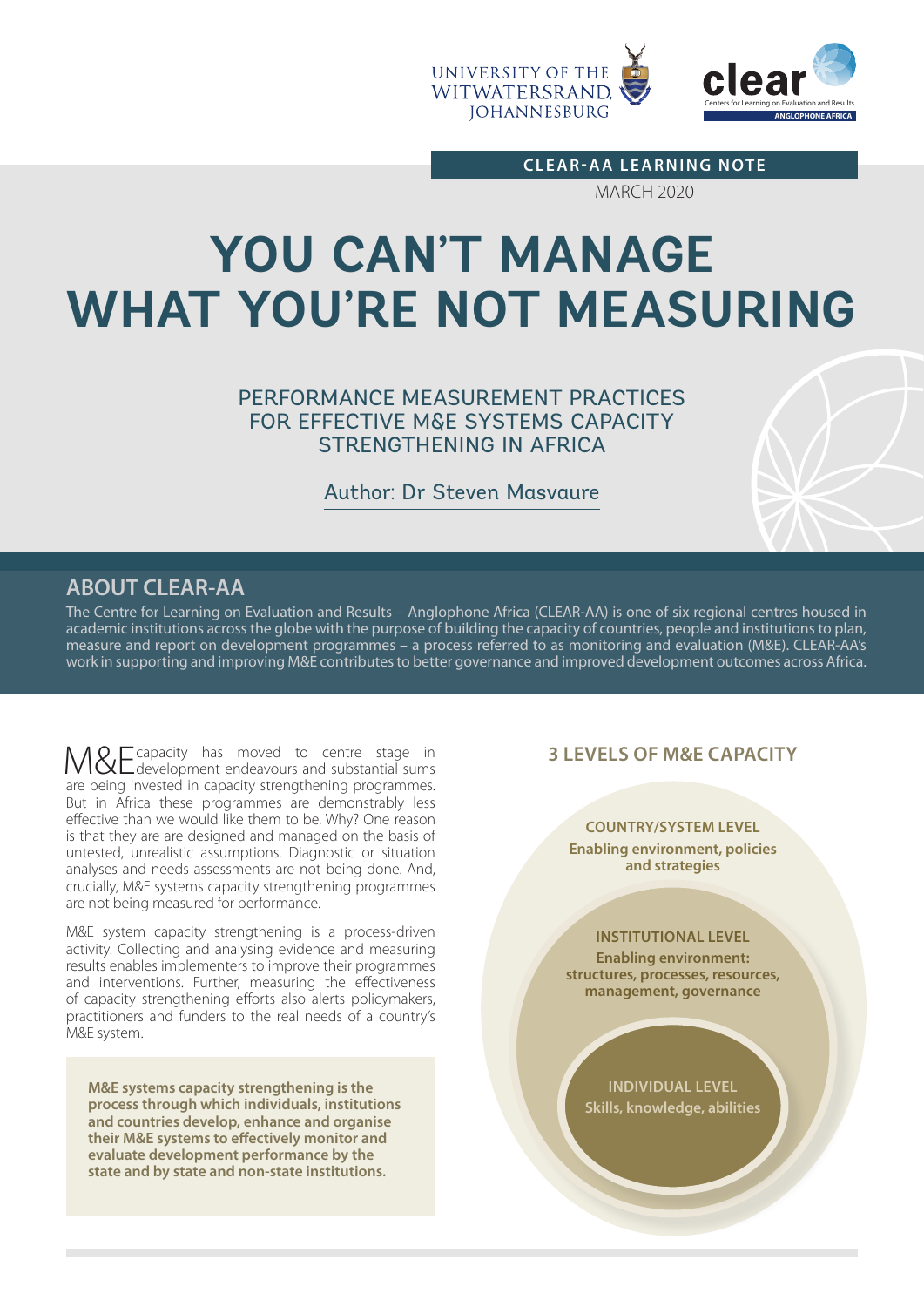

**CLEAR-AA LEARNING NOTE**

MARCH 2020

# **YOU CAN'T MANAGE WHAT YOU'RE NOT MEASURING**

PERFORMANCE MEASUREMENT PRACTICES FOR EFFECTIVE M&E SYSTEMS CAPACITY STRENGTHENING IN AFRICA

Author: Dr Steven Masvaure

# **ABOUT CLEAR-AA**

The Centre for Learning on Evaluation and Results – Anglophone Africa (CLEAR-AA) is one of six regional centres housed in academic institutions across the globe with the purpose of building the capacity of countries, people and institutions to plan, measure and report on development programmes – a process referred to as monitoring and evaluation (M&E). CLEAR-AA's work in supporting and improving M&E contributes to better governance and improved development outcomes across Africa.

M&E capacity has moved to centre stage in<br>
M&E development endeavours and substantial sums are being invested in capacity strengthening programmes. But in Africa these programmes are demonstrably less effective than we would like them to be. Why? One reason is that they are are designed and managed on the basis of untested, unrealistic assumptions. Diagnostic or situation analyses and needs assessments are not being done. And, crucially, M&E systems capacity strengthening programmes are not being measured for performance.

M&E system capacity strengthening is a process-driven activity. Collecting and analysing evidence and measuring results enables implementers to improve their programmes and interventions. Further, measuring the effectiveness of capacity strengthening efforts also alerts policymakers, practitioners and funders to the real needs of a country's M&E system.

**M&E systems capacity strengthening is the process through which individuals, institutions and countries develop, enhance and organise their M&E systems to effectively monitor and evaluate development performance by the state and by state and non-state institutions.**

## **3 LEVELS OF M&E CAPACITY**

#### **COUNTRY/SYSTEM LEVEL**

**Enabling environment, policies and strategies** 

#### **INSTITUTIONAL LEVEL**

**Enabling environment: structures, processes, resources, management, governance**

**INDIVIDUAL LEVEL Skills, knowledge, abilities**